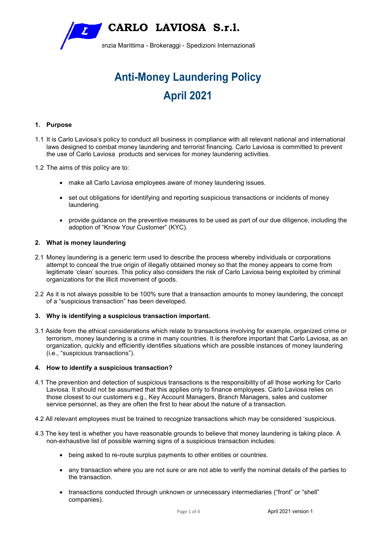

# **Anti-Money Laundering Policy April 2021**

# **1. Purpose**

- 1.1 It is Carlo Laviosa's policy to conduct all business in compliance with all relevant national and international laws designed to combat money laundering and terrorist financing. Carlo Laviosa is committed to prevent the use of Carlo Laviosa products and services for money laundering activities.
- 1.2 The aims of this policy are to:
	- make all Carlo Laviosa employees aware of money laundering issues.
	- set out obligations for identifying and reporting suspicious transactions or incidents of money laundering.
	- provide guidance on the preventive measures to be used as part of our due diligence, including the adoption of "Know Your Customer" (KYC).

## **2. What is money laundering**

- 2.1 Money laundering is a generic term used to describe the process whereby individuals or corporations attempt to conceal the true origin of illegally obtained money so that the money appears to come from legitimate 'clean' sources. This policy also considers the risk of Carlo Laviosa being exploited by criminal organizations for the illicit movement of goods.
- 2.2 As it is not always possible to be 100% sure that a transaction amounts to money laundering, the concept of a "suspicious transaction" has been developed.

# **3. Why is identifying a suspicious transaction important.**

3.1 Aside from the ethical considerations which relate to transactions involving for example, organized crime or terrorism, money laundering is a crime in many countries. It is therefore important that Carlo Laviosa, as an organization, quickly and efficiently identifies situations which are possible instances of money laundering (i.e., "suspicious transactions").

## **4. How to identify a suspicious transaction?**

- 4.1 The prevention and detection of suspicious transactions is the responsibility of all those working for Carlo Laviosa. It should not be assumed that this applies only to finance employees. Carlo Laviosa relies on those closest to our customers e.g., Key Account Managers, Branch Managers, sales and customer service personnel, as they are often the first to hear about the nature of a transaction.
- 4.2 All relevant employees must be trained to recognize transactions which may be considered 'suspicious.
- 4.3 The key test is whether you have reasonable grounds to believe that money laundering is taking place. A non-exhaustive list of possible warning signs of a suspicious transaction includes:
	- being asked to re-route surplus payments to other entities or countries.
	- any transaction where you are not sure or are not able to verify the nominal details of the parties to the transaction.
	- transactions conducted through unknown or unnecessary intermediaries ("front" or "shell" companies).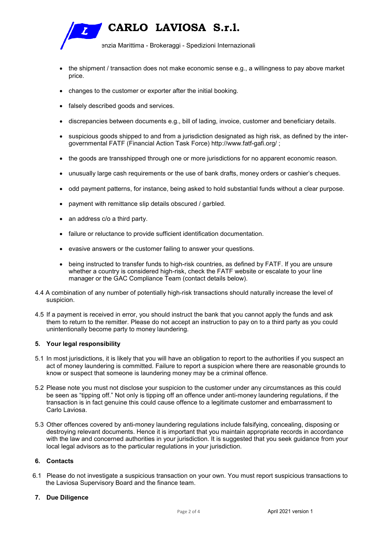

- the shipment / transaction does not make economic sense e.g., a willingness to pay above market price.
- changes to the customer or exporter after the initial booking.
- falsely described goods and services.
- discrepancies between documents e.g., bill of lading, invoice, customer and beneficiary details.
- suspicious goods shipped to and from a jurisdiction designated as high risk, as defined by the intergovernmental FATF (Financial Action Task Force) http://www.fatf-gafi.org/ ;
- the goods are transshipped through one or more jurisdictions for no apparent economic reason.
- unusually large cash requirements or the use of bank drafts, money orders or cashier's cheques.
- odd payment patterns, for instance, being asked to hold substantial funds without a clear purpose.
- payment with remittance slip details obscured / garbled.
- an address c/o a third party.
- failure or reluctance to provide sufficient identification documentation.
- evasive answers or the customer failing to answer your questions.
- being instructed to transfer funds to high-risk countries, as defined by FATF. If you are unsure whether a country is considered high-risk, check the FATF website or escalate to your line manager or the GAC Compliance Team (contact details below).
- 4.4 A combination of any number of potentially high-risk transactions should naturally increase the level of suspicion.
- 4.5 If a payment is received in error, you should instruct the bank that you cannot apply the funds and ask them to return to the remitter. Please do not accept an instruction to pay on to a third party as you could unintentionally become party to money laundering.

## **5. Your legal responsibility**

- 5.1 In most jurisdictions, it is likely that you will have an obligation to report to the authorities if you suspect an act of money laundering is committed. Failure to report a suspicion where there are reasonable grounds to know or suspect that someone is laundering money may be a criminal offence.
- 5.2 Please note you must not disclose your suspicion to the customer under any circumstances as this could be seen as "tipping off." Not only is tipping off an offence under anti-money laundering regulations, if the transaction is in fact genuine this could cause offence to a legitimate customer and embarrassment to Carlo Laviosa.
- 5.3 Other offences covered by anti-money laundering regulations include falsifying, concealing, disposing or destroying relevant documents. Hence it is important that you maintain appropriate records in accordance with the law and concerned authorities in your jurisdiction. It is suggested that you seek guidance from your local legal advisors as to the particular regulations in your jurisdiction.

# **6. Contacts**

6.1 Please do not investigate a suspicious transaction on your own. You must report suspicious transactions to the Laviosa Supervisory Board and the finance team.

## **7. Due Diligence**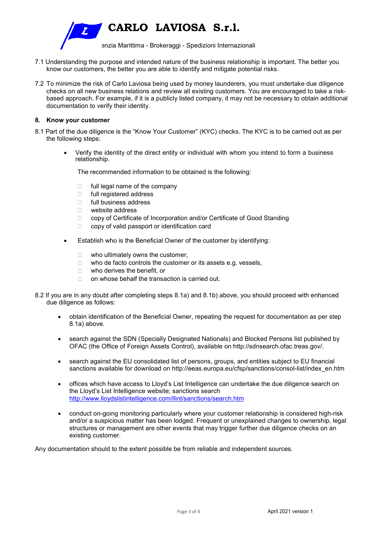

- 7.1 Understanding the purpose and intended nature of the business relationship is important. The better you know our customers, the better you are able to identify and mitigate potential risks.
- 7.2 To minimize the risk of Carlo Laviosa being used by money launderers, you must undertake due diligence checks on all new business relations and review all existing customers. You are encouraged to take a riskbased approach. For example, if it is a publicly listed company, it may not be necessary to obtain additional documentation to verify their identity.

## **8. Know your customer**

- 8.1 Part of the due diligence is the "Know Your Customer" (KYC) checks. The KYC is to be carried out as per the following steps:
	- Verify the identity of the direct entity or individual with whom you intend to form a business relationship.

The recommended information to be obtained is the following:

- $\Box$  full legal name of the company
- □ full registered address
- $\Box$  full business address
- website address
- □ copy of Certificate of Incorporation and/or Certificate of Good Standing
- $\Box$  copy of valid passport or identification card
- Establish who is the Beneficial Owner of the customer by identifying:
	- $\Box$  who ultimately owns the customer,
	- $\Box$  who de facto controls the customer or its assets e.g. vessels,
	- □ who derives the benefit, or
	- $\Box$  on whose behalf the transaction is carried out.
- 8.2 If you are in any doubt after completing steps 8.1a) and 8.1b) above, you should proceed with enhanced due diligence as follows:
	- obtain identification of the Beneficial Owner, repeating the request for documentation as per step 8.1a) above.
	- search against the SDN (Specially Designated Nationals) and Blocked Persons list published by OFAC (the Office of Foreign Assets Control), available on http://sdnsearch.ofac.treas.gov/.
	- search against the EU consolidated list of persons, groups, and entities subject to EU financial sanctions available for download on http://eeas.europa.eu/cfsp/sanctions/consol-list/index\_en.htm
	- offices which have access to Lloyd's List Intelligence can undertake the due diligence search on the Lloyd's List Intelligence website; sanctions search http://www.lloydslistintelligence.com/llint/sanctions/search.htm
	- conduct on-going monitoring particularly where your customer relationship is considered high-risk and/or a suspicious matter has been lodged. Frequent or unexplained changes to ownership, legal structures or management are other events that may trigger further due diligence checks on an existing customer.

Any documentation should to the extent possible be from reliable and independent sources.